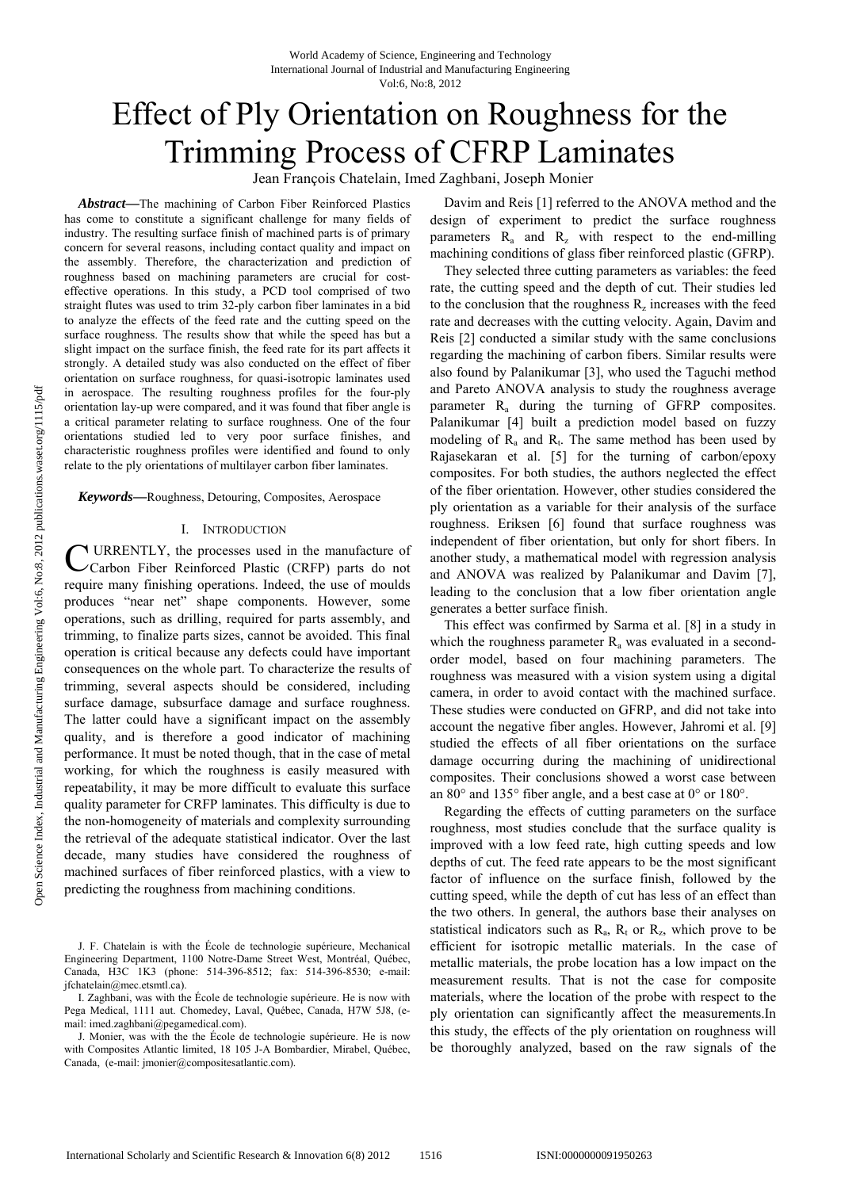# Effect of Ply Orientation on Roughness for the Trimming Process of CFRP Laminates

Jean François Chatelain, Imed Zaghbani, Joseph Monier

*Abstract***—**The machining of Carbon Fiber Reinforced Plastics has come to constitute a significant challenge for many fields of industry. The resulting surface finish of machined parts is of primary concern for several reasons, including contact quality and impact on the assembly. Therefore, the characterization and prediction of roughness based on machining parameters are crucial for costeffective operations. In this study, a PCD tool comprised of two straight flutes was used to trim 32-ply carbon fiber laminates in a bid to analyze the effects of the feed rate and the cutting speed on the surface roughness. The results show that while the speed has but a slight impact on the surface finish, the feed rate for its part affects it strongly. A detailed study was also conducted on the effect of fiber orientation on surface roughness, for quasi-isotropic laminates used in aerospace. The resulting roughness profiles for the four-ply orientation lay-up were compared, and it was found that fiber angle is a critical parameter relating to surface roughness. One of the four orientations studied led to very poor surface finishes, and characteristic roughness profiles were identified and found to only relate to the ply orientations of multilayer carbon fiber laminates.

*Keywords***—**Roughness, Detouring, Composites, Aerospace

#### I. INTRODUCTION

URRENTLY, the processes used in the manufacture of Carbon Fiber Reinforced Plastic (CRFP) parts do not require many finishing operations. Indeed, the use of moulds produces "near net" shape components. However, some operations, such as drilling, required for parts assembly, and trimming, to finalize parts sizes, cannot be avoided. This final operation is critical because any defects could have important consequences on the whole part. To characterize the results of trimming, several aspects should be considered, including surface damage, subsurface damage and surface roughness. The latter could have a significant impact on the assembly quality, and is therefore a good indicator of machining performance. It must be noted though, that in the case of metal working, for which the roughness is easily measured with repeatability, it may be more difficult to evaluate this surface quality parameter for CRFP laminates. This difficulty is due to the non-homogeneity of materials and complexity surrounding the retrieval of the adequate statistical indicator. Over the last decade, many studies have considered the roughness of machined surfaces of fiber reinforced plastics, with a view to predicting the roughness from machining conditions. C

Davim and Reis [1] referred to the ANOVA method and the design of experiment to predict the surface roughness parameters  $R_a$  and  $R_z$  with respect to the end-milling machining conditions of glass fiber reinforced plastic (GFRP).

They selected three cutting parameters as variables: the feed rate, the cutting speed and the depth of cut. Their studies led to the conclusion that the roughness  $R_z$  increases with the feed rate and decreases with the cutting velocity. Again, Davim and Reis [2] conducted a similar study with the same conclusions regarding the machining of carbon fibers. Similar results were also found by Palanikumar [3], who used the Taguchi method and Pareto ANOVA analysis to study the roughness average parameter R<sub>a</sub> during the turning of GFRP composites. Palanikumar [4] built a prediction model based on fuzzy modeling of  $R_a$  and  $R_t$ . The same method has been used by Rajasekaran et al. [5] for the turning of carbon/epoxy composites. For both studies, the authors neglected the effect of the fiber orientation. However, other studies considered the ply orientation as a variable for their analysis of the surface roughness. Eriksen [6] found that surface roughness was independent of fiber orientation, but only for short fibers. In another study, a mathematical model with regression analysis and ANOVA was realized by Palanikumar and Davim [7], leading to the conclusion that a low fiber orientation angle generates a better surface finish.

This effect was confirmed by Sarma et al. [8] in a study in which the roughness parameter  $R_a$  was evaluated in a secondorder model, based on four machining parameters. The roughness was measured with a vision system using a digital camera, in order to avoid contact with the machined surface. These studies were conducted on GFRP, and did not take into account the negative fiber angles. However, Jahromi et al. [9] studied the effects of all fiber orientations on the surface damage occurring during the machining of unidirectional composites. Their conclusions showed a worst case between an 80° and 135° fiber angle, and a best case at 0° or 180°.

Regarding the effects of cutting parameters on the surface roughness, most studies conclude that the surface quality is improved with a low feed rate, high cutting speeds and low depths of cut. The feed rate appears to be the most significant factor of influence on the surface finish, followed by the cutting speed, while the depth of cut has less of an effect than the two others. In general, the authors base their analyses on statistical indicators such as  $R_a$ ,  $R_t$  or  $R_z$ , which prove to be efficient for isotropic metallic materials. In the case of metallic materials, the probe location has a low impact on the measurement results. That is not the case for composite materials, where the location of the probe with respect to the ply orientation can significantly affect the measurements.In this study, the effects of the ply orientation on roughness will be thoroughly analyzed, based on the raw signals of the

J. F. Chatelain is with the École de technologie supérieure, Mechanical Engineering Department, 1100 Notre-Dame Street West, Montréal, Québec, Canada, H3C 1K3 (phone: 514-396-8512; fax: 514-396-8530; e-mail: jfchatelain@mec.etsmtl.ca).

I. Zaghbani, was with the École de technologie supérieure. He is now with Pega Medical, 1111 aut. Chomedey, Laval, Québec, Canada, H7W 5J8, (email: imed.zaghbani@pegamedical.com).

J. Monier, was with the the École de technologie supérieure. He is now with Composites Atlantic limited, 18 105 J-A Bombardier, Mirabel, Québec, Canada, (e-mail: jmonier@compositesatlantic.com).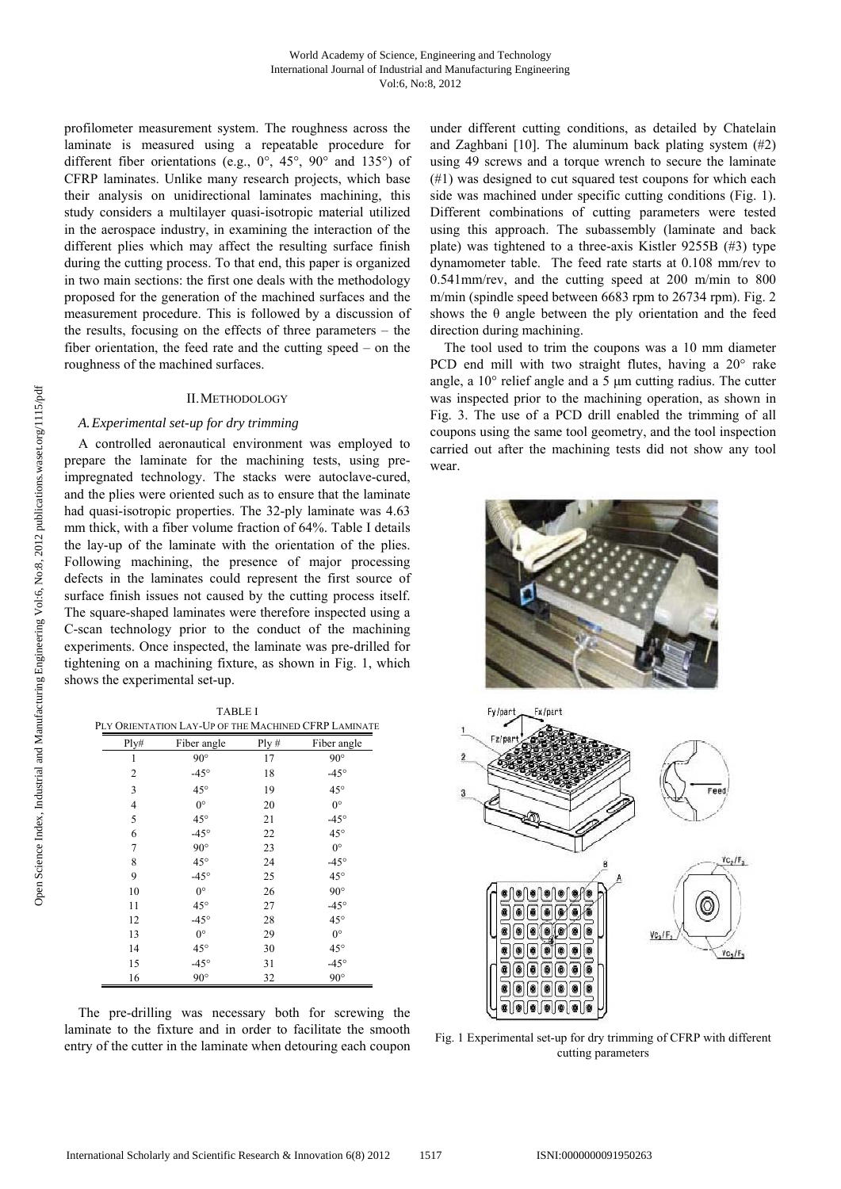profilometer measurement system. The roughness across the laminate is measured using a repeatable procedure for different fiber orientations (e.g., 0°, 45°, 90° and 135°) of CFRP laminates. Unlike many research projects, which base their analysis on unidirectional laminates machining, this study considers a multilayer quasi-isotropic material utilized in the aerospace industry, in examining the interaction of the different plies which may affect the resulting surface finish during the cutting process. To that end, this paper is organized in two main sections: the first one deals with the methodology proposed for the generation of the machined surfaces and the measurement procedure. This is followed by a discussion of the results, focusing on the effects of three parameters – the fiber orientation, the feed rate and the cutting speed – on the roughness of the machined surfaces.

## II.METHODOLOGY

# *A.Experimental set-up for dry trimming*

A controlled aeronautical environment was employed to prepare the laminate for the machining tests, using preimpregnated technology. The stacks were autoclave-cured, and the plies were oriented such as to ensure that the laminate had quasi-isotropic properties. The 32-ply laminate was 4.63 mm thick, with a fiber volume fraction of 64%. Table I details the lay-up of the laminate with the orientation of the plies. Following machining, the presence of major processing defects in the laminates could represent the first source of surface finish issues not caused by the cutting process itself. The square-shaped laminates were therefore inspected using a C-scan technology prior to the conduct of the machining experiments. Once inspected, the laminate was pre-drilled for tightening on a machining fixture, as shown in Fig. 1, which shows the experimental set-up.

TABLE I PLY ORIENTATION LAY-UP OF THE MACHINED CFRP LAMINATE

| Ply#           | Fiber angle   | Ply# | Fiber angle   |
|----------------|---------------|------|---------------|
| 1              | $90^{\circ}$  | 17   | $90^{\circ}$  |
| 2              | $-45^{\circ}$ | 18   | $-45^{\circ}$ |
| 3              | $45^{\circ}$  | 19   | $45^{\circ}$  |
| $\overline{4}$ | $0^{\circ}$   | 20   | $0^{\circ}$   |
| 5              | $45^{\circ}$  | 21   | $-45^{\circ}$ |
| 6              | $-45^\circ$   | 22   | $45^{\circ}$  |
| 7              | $90^{\circ}$  | 23   | $0^{\circ}$   |
| 8              | $45^{\circ}$  | 24   | $-45^{\circ}$ |
| 9              | $-45^{\circ}$ | 25   | $45^{\circ}$  |
| 10             | $0^{\circ}$   | 26   | $90^{\circ}$  |
| 11             | $45^{\circ}$  | 27   | $-45^{\circ}$ |
| 12             | $-45^{\circ}$ | 28   | $45^{\circ}$  |
| 13             | $0^{\circ}$   | 29   | $0^{\circ}$   |
| 14             | $45^{\circ}$  | 30   | $45^{\circ}$  |
| 15             | $-45^{\circ}$ | 31   | $-45^{\circ}$ |
| 16             | $90^{\circ}$  | 32   | $90^{\circ}$  |

The pre-drilling was necessary both for screwing the laminate to the fixture and in order to facilitate the smooth entry of the cutter in the laminate when detouring each coupon under different cutting conditions, as detailed by Chatelain and Zaghbani [10]. The aluminum back plating system (#2) using 49 screws and a torque wrench to secure the laminate (#1) was designed to cut squared test coupons for which each side was machined under specific cutting conditions (Fig. 1). Different combinations of cutting parameters were tested using this approach. The subassembly (laminate and back plate) was tightened to a three-axis Kistler 9255B (#3) type dynamometer table. The feed rate starts at 0.108 mm/rev to 0.541mm/rev, and the cutting speed at 200 m/min to 800 m/min (spindle speed between 6683 rpm to 26734 rpm). Fig. 2 shows the  $\theta$  angle between the ply orientation and the feed direction during machining.

The tool used to trim the coupons was a 10 mm diameter PCD end mill with two straight flutes, having a 20° rake angle, a 10° relief angle and a 5 μm cutting radius. The cutter was inspected prior to the machining operation, as shown in Fig. 3. The use of a PCD drill enabled the trimming of all coupons using the same tool geometry, and the tool inspection carried out after the machining tests did not show any tool wear.





Fig. 1 Experimental set-up for dry trimming of CFRP with different cutting parameters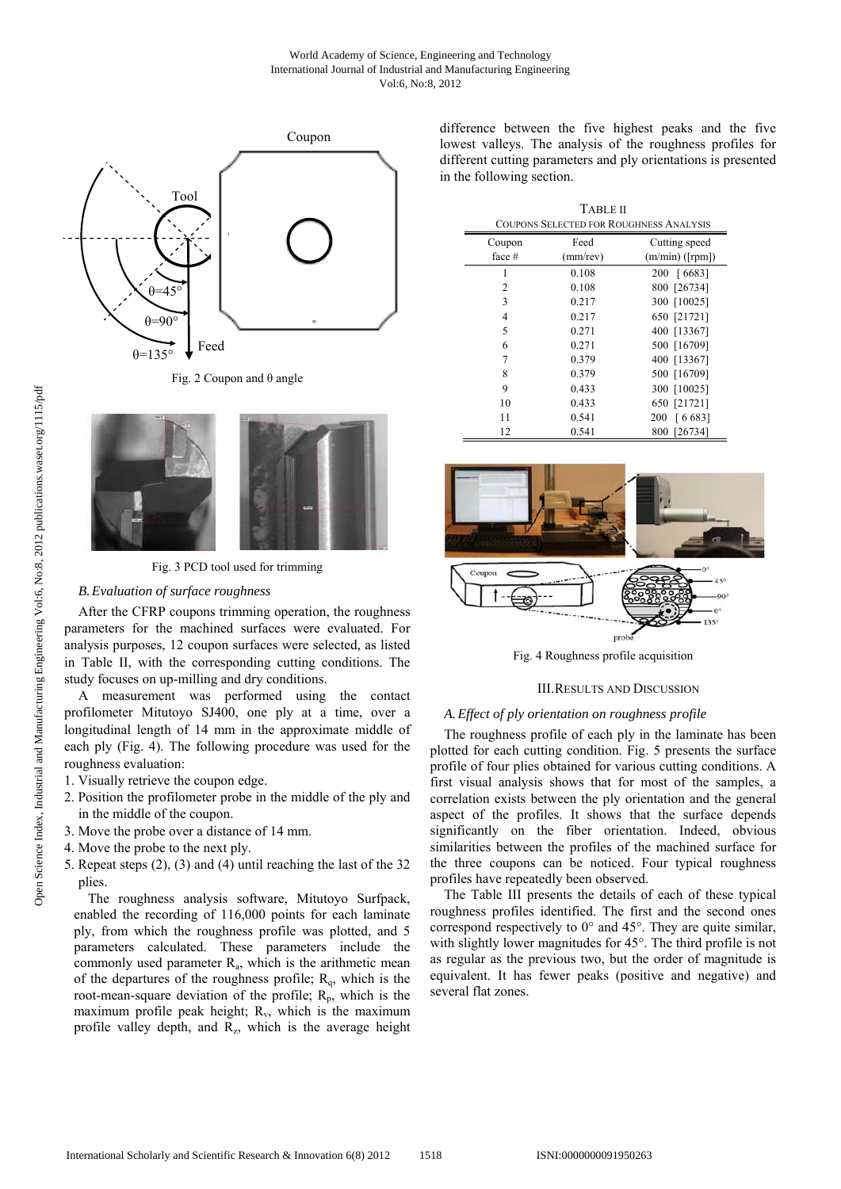

Fig. 2 Coupon and θ angle



Fig. 3 PCD tool used for trimming

### *B.Evaluation of surface roughness*

After the CFRP coupons trimming operation, the roughness parameters for the machined surfaces were evaluated. For analysis purposes, 12 coupon surfaces were selected, as listed in Table II, with the corresponding cutting conditions. The study focuses on up-milling and dry conditions.

A measurement was performed using the contact profilometer Mitutoyo SJ400, one ply at a time, over a longitudinal length of 14 mm in the approximate middle of each ply (Fig. 4). The following procedure was used for the roughness evaluation:

- 1. Visually retrieve the coupon edge.
- 2. Position the profilometer probe in the middle of the ply and in the middle of the coupon.
- 3. Move the probe over a distance of 14 mm.
- 4. Move the probe to the next ply.
- 5. Repeat steps (2), (3) and (4) until reaching the last of the 32 plies.

The roughness analysis software, Mitutoyo Surfpack, enabled the recording of 116,000 points for each laminate ply, from which the roughness profile was plotted, and 5 parameters calculated. These parameters include the commonly used parameter  $R_a$ , which is the arithmetic mean of the departures of the roughness profile;  $R_q$ , which is the root-mean-square deviation of the profile;  $R_p$ , which is the maximum profile peak height;  $R_v$ , which is the maximum profile valley depth, and  $R_z$ , which is the average height difference between the five highest peaks and the five lowest valleys. The analysis of the roughness profiles for different cutting parameters and ply orientations is presented in the following section.

|                                                | <b>TABLE II</b> |                   |  |  |
|------------------------------------------------|-----------------|-------------------|--|--|
| <b>COUPONS SELECTED FOR ROUGHNESS ANALYSIS</b> |                 |                   |  |  |
| Coupon                                         | Feed            | Cutting speed     |  |  |
| face #                                         | $(mm$ /rev)     | $(m/min)$ ([rpm]) |  |  |
| 1                                              | 0.108           | 200 [6683]        |  |  |
| 2                                              | 0.108           | 800 [26734]       |  |  |
| 3                                              | 0.217           | 300 [10025]       |  |  |
| 4                                              | 0.217           | 650 [21721]       |  |  |
| 5                                              | 0.271           | 400 [13367]       |  |  |
| 6                                              | 0.271           | 500 [16709]       |  |  |
| 7                                              | 0.379           | 400 [13367]       |  |  |
| 8                                              | 0.379           | 500 [16709]       |  |  |
| 9                                              | 0.433           | 300 [10025]       |  |  |
| 10                                             | 0.433           | 650 [21721]       |  |  |
| 11                                             | 0.541           | 200 [6683]        |  |  |
| 12                                             | 0.541           | 800 [26734]       |  |  |



Fig. 4 Roughness profile acquisition

## III.RESULTS AND DISCUSSION

## *A.Effect of ply orientation on roughness profile*

The roughness profile of each ply in the laminate has been plotted for each cutting condition. Fig. 5 presents the surface profile of four plies obtained for various cutting conditions. A first visual analysis shows that for most of the samples, a correlation exists between the ply orientation and the general aspect of the profiles. It shows that the surface depends significantly on the fiber orientation. Indeed, obvious similarities between the profiles of the machined surface for the three coupons can be noticed. Four typical roughness profiles have repeatedly been observed.

The Table III presents the details of each of these typical roughness profiles identified. The first and the second ones correspond respectively to 0° and 45°. They are quite similar, with slightly lower magnitudes for 45°. The third profile is not as regular as the previous two, but the order of magnitude is equivalent. It has fewer peaks (positive and negative) and several flat zones.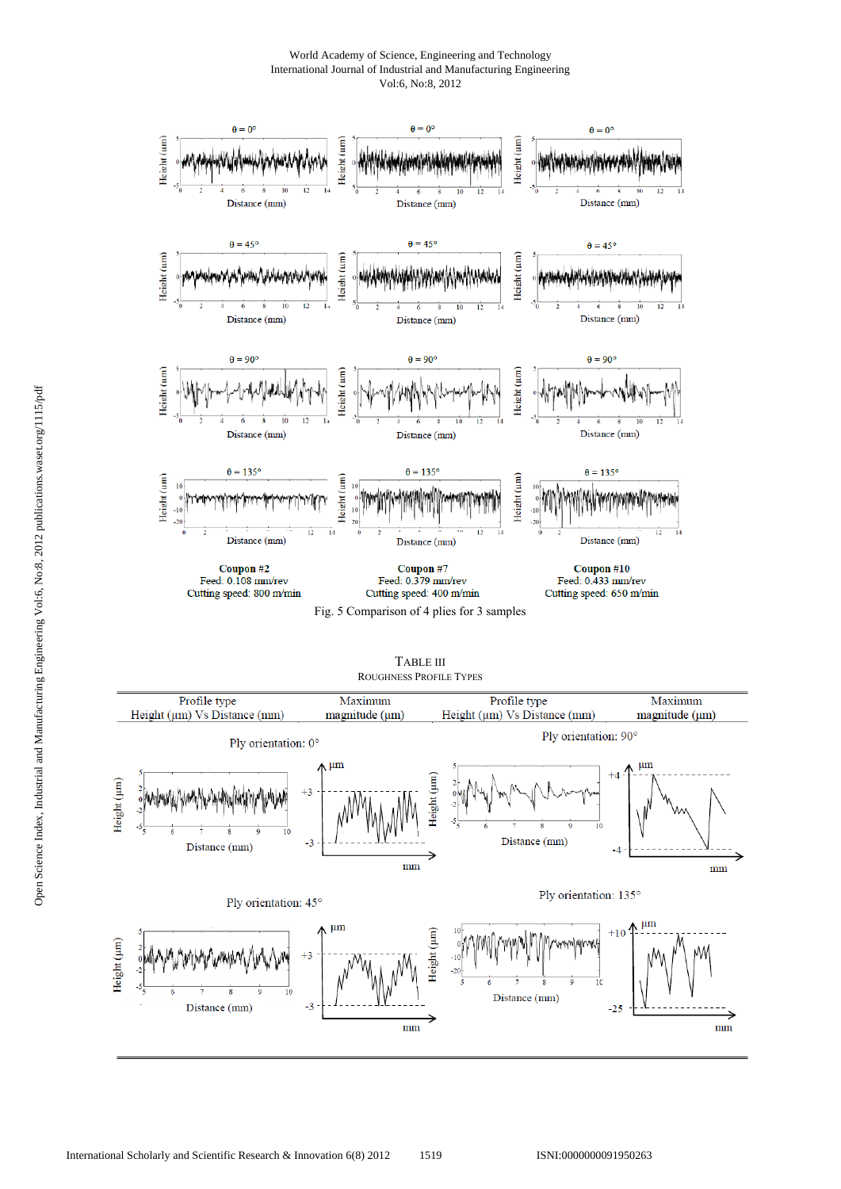World Academy of Science, Engineering and Technology International Journal of Industrial and Manufacturing Engineering Vol:6, No:8, 2012



TABLE III ROUGHNESS PROFILE TYPES

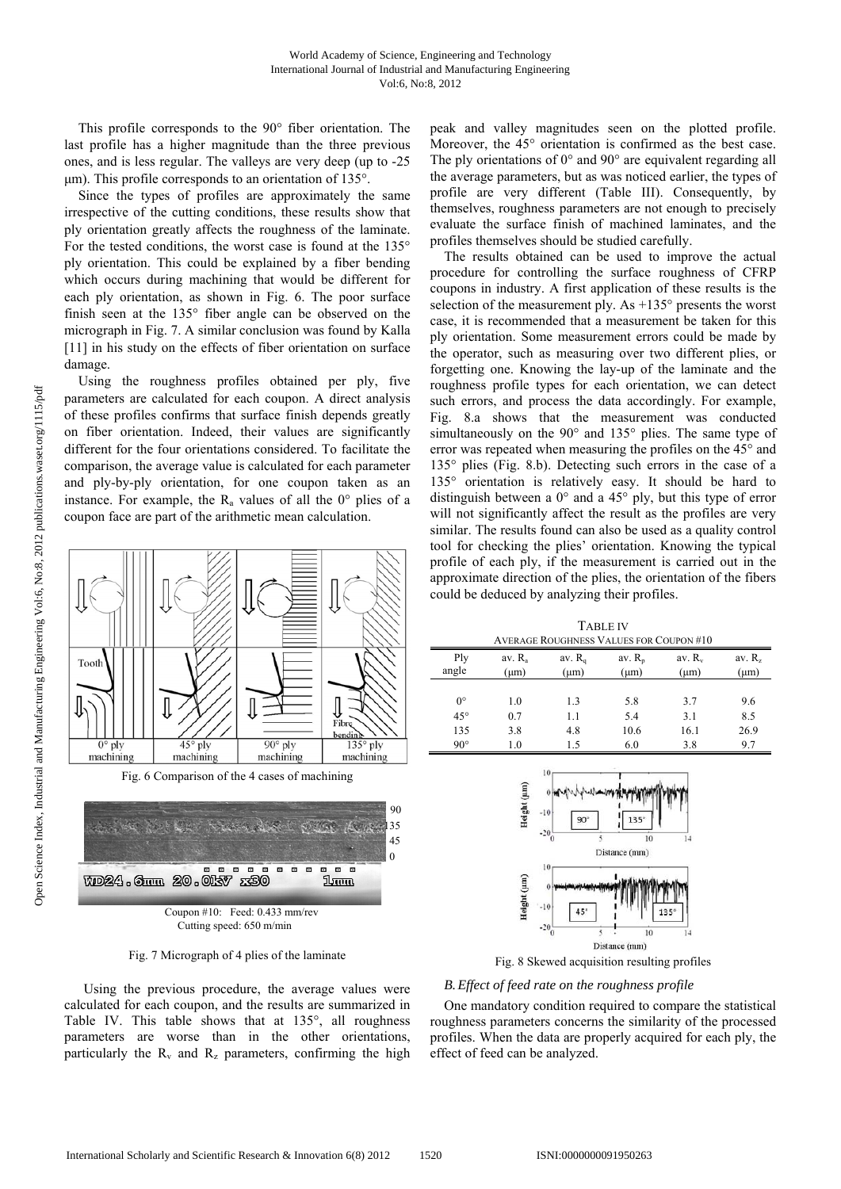This profile corresponds to the 90° fiber orientation. The last profile has a higher magnitude than the three previous ones, and is less regular. The valleys are very deep (up to -25 μm). This profile corresponds to an orientation of 135°.

Since the types of profiles are approximately the same irrespective of the cutting conditions, these results show that ply orientation greatly affects the roughness of the laminate. For the tested conditions, the worst case is found at the 135° ply orientation. This could be explained by a fiber bending which occurs during machining that would be different for each ply orientation, as shown in Fig. 6. The poor surface finish seen at the 135° fiber angle can be observed on the micrograph in Fig. 7. A similar conclusion was found by Kalla [11] in his study on the effects of fiber orientation on surface damage.

Using the roughness profiles obtained per ply, five parameters are calculated for each coupon. A direct analysis of these profiles confirms that surface finish depends greatly on fiber orientation. Indeed, their values are significantly different for the four orientations considered. To facilitate the comparison, the average value is calculated for each parameter and ply-by-ply orientation, for one coupon taken as an instance. For example, the  $R_a$  values of all the  $0^\circ$  plies of a coupon face are part of the arithmetic mean calculation.



Fig. 7 Micrograph of 4 plies of the laminate

Using the previous procedure, the average values were calculated for each coupon, and the results are summarized in Table IV. This table shows that at 135°, all roughness parameters are worse than in the other orientations, particularly the  $R_v$  and  $R_z$  parameters, confirming the high peak and valley magnitudes seen on the plotted profile. Moreover, the 45° orientation is confirmed as the best case. The ply orientations of 0° and 90° are equivalent regarding all the average parameters, but as was noticed earlier, the types of profile are very different (Table III). Consequently, by themselves, roughness parameters are not enough to precisely evaluate the surface finish of machined laminates, and the profiles themselves should be studied carefully.

The results obtained can be used to improve the actual procedure for controlling the surface roughness of CFRP coupons in industry. A first application of these results is the selection of the measurement ply. As +135° presents the worst case, it is recommended that a measurement be taken for this ply orientation. Some measurement errors could be made by the operator, such as measuring over two different plies, or forgetting one. Knowing the lay-up of the laminate and the roughness profile types for each orientation, we can detect such errors, and process the data accordingly. For example, Fig. 8.a shows that the measurement was conducted simultaneously on the 90° and 135° plies. The same type of error was repeated when measuring the profiles on the 45° and 135° plies (Fig. 8.b). Detecting such errors in the case of a 135° orientation is relatively easy. It should be hard to distinguish between a 0° and a 45° ply, but this type of error will not significantly affect the result as the profiles are very similar. The results found can also be used as a quality control tool for checking the plies' orientation. Knowing the typical profile of each ply, if the measurement is carried out in the approximate direction of the plies, the orientation of the fibers could be deduced by analyzing their profiles.

TABLE IV

| <b>AVERAGE ROUGHNESS VALUES FOR COUPON #10</b> |                                 |     |                                                    |      |                   |
|------------------------------------------------|---------------------------------|-----|----------------------------------------------------|------|-------------------|
| Ply<br>angle                                   | av. R <sub>a</sub><br>$(\mu m)$ |     | av. $R_{q}$<br>av. $R_p$<br>$(\mu m)$<br>$(\mu m)$ |      | av. $R_z$<br>(um) |
| $0^{\circ}$                                    |                                 | 1.3 |                                                    | 3.7  |                   |
| $45^{\circ}$                                   | 1.0<br>0.7                      | 1.1 | 5.8<br>5.4                                         | 3.1  | 9.6<br>8.5        |
| 135                                            | 3.8                             | 4.8 | 10.6                                               | 16.1 | 26.9              |
| $90^\circ$                                     | 1.0                             | 15  | 6.0                                                | 3.8  | 9.7               |



Fig. 8 Skewed acquisition resulting profiles

# *B.Effect of feed rate on the roughness profile*

One mandatory condition required to compare the statistical roughness parameters concerns the similarity of the processed profiles. When the data are properly acquired for each ply, the effect of feed can be analyzed.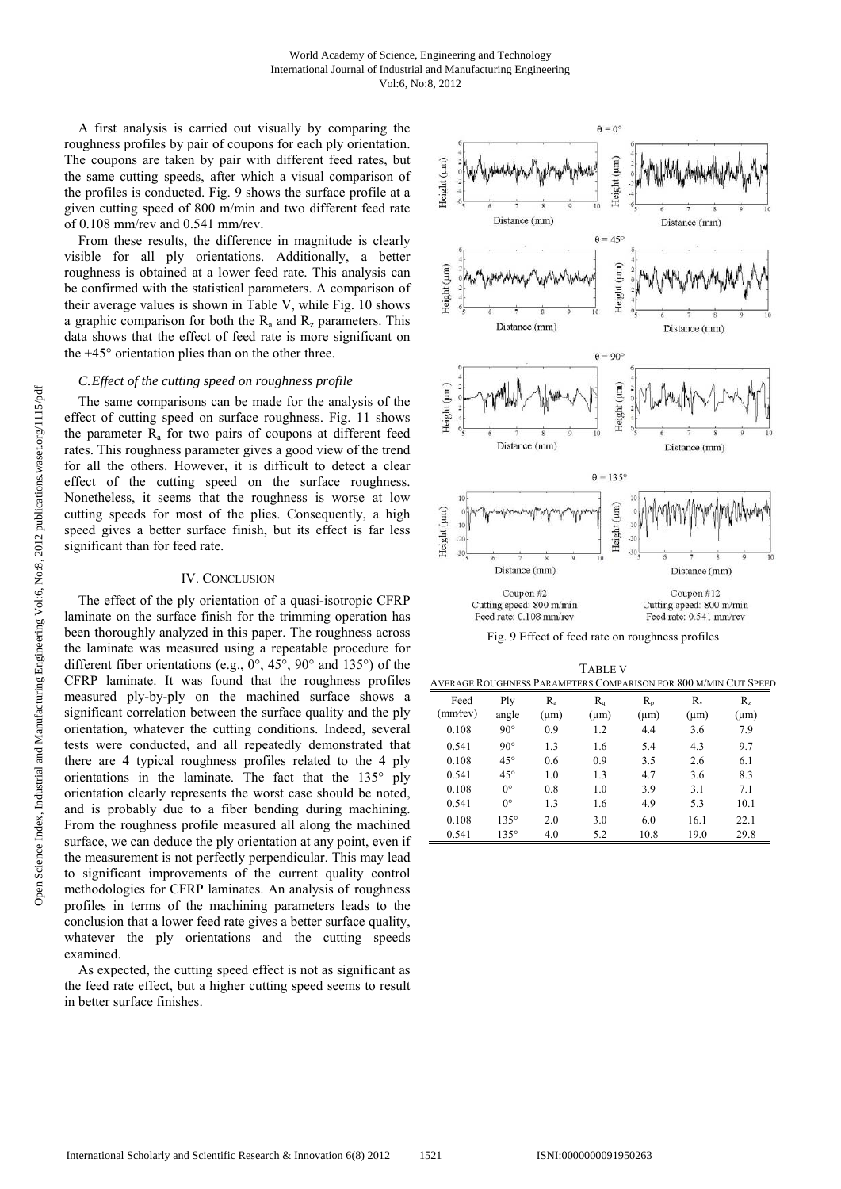A first analysis is carried out visually by comparing the roughness profiles by pair of coupons for each ply orientation. The coupons are taken by pair with different feed rates, but the same cutting speeds, after which a visual comparison of the profiles is conducted. Fig. 9 shows the surface profile at a given cutting speed of 800 m/min and two different feed rate of 0.108 mm/rev and 0.541 mm/rev.

From these results, the difference in magnitude is clearly visible for all ply orientations. Additionally, a better roughness is obtained at a lower feed rate. This analysis can be confirmed with the statistical parameters. A comparison of their average values is shown in Table V, while Fig. 10 shows a graphic comparison for both the  $R_a$  and  $R_z$  parameters. This data shows that the effect of feed rate is more significant on the +45° orientation plies than on the other three.

## *C.Effect of the cutting speed on roughness profile*

The same comparisons can be made for the analysis of the effect of cutting speed on surface roughness. Fig. 11 shows the parameter  $R_a$  for two pairs of coupons at different feed rates. This roughness parameter gives a good view of the trend for all the others. However, it is difficult to detect a clear effect of the cutting speed on the surface roughness. Nonetheless, it seems that the roughness is worse at low cutting speeds for most of the plies. Consequently, a high speed gives a better surface finish, but its effect is far less significant than for feed rate.

## IV. CONCLUSION

The effect of the ply orientation of a quasi-isotropic CFRP laminate on the surface finish for the trimming operation has been thoroughly analyzed in this paper. The roughness across the laminate was measured using a repeatable procedure for different fiber orientations (e.g.,  $0^\circ$ ,  $45^\circ$ ,  $90^\circ$  and  $135^\circ$ ) of the CFRP laminate. It was found that the roughness profiles measured ply-by-ply on the machined surface shows a significant correlation between the surface quality and the ply orientation, whatever the cutting conditions. Indeed, several tests were conducted, and all repeatedly demonstrated that there are 4 typical roughness profiles related to the 4 ply orientations in the laminate. The fact that the 135° ply orientation clearly represents the worst case should be noted, and is probably due to a fiber bending during machining. From the roughness profile measured all along the machined surface, we can deduce the ply orientation at any point, even if the measurement is not perfectly perpendicular. This may lead to significant improvements of the current quality control methodologies for CFRP laminates. An analysis of roughness profiles in terms of the machining parameters leads to the conclusion that a lower feed rate gives a better surface quality, whatever the ply orientations and the cutting speeds examined.

As expected, the cutting speed effect is not as significant as the feed rate effect, but a higher cutting speed seems to result in better surface finishes.



Fig. 9 Effect of feed rate on roughness profiles

TABLE V

| AVERAGE ROUGHNESS PARAMETERS COMPARISON FOR 800 M/MIN CUT SPEED |              |                      |                      |                      |                    |                    |
|-----------------------------------------------------------------|--------------|----------------------|----------------------|----------------------|--------------------|--------------------|
| Feed<br>(mm/rev)                                                | Plv<br>angle | $R_{a}$<br>$(\mu m)$ | $R_{q}$<br>$(\mu m)$ | $R_{p}$<br>$(\mu m)$ | $R_v$<br>$(\mu m)$ | $R_z$<br>$(\mu m)$ |
| 0.108                                                           | $90^{\circ}$ | 0.9                  | 1.2                  | 4.4                  | 3.6                | 7.9                |
| 0.541                                                           | $90^{\circ}$ | 1.3                  | 1.6                  | 5.4                  | 4.3                | 9.7                |
| 0.108                                                           | $45^{\circ}$ | 0.6                  | 0.9                  | 3.5                  | 2.6                | 6.1                |
| 0.541                                                           | $45^{\circ}$ | 1.0                  | 1.3                  | 4.7                  | 3.6                | 8.3                |
| 0.108                                                           | $0^{\circ}$  | 0.8                  | 1.0                  | 3.9                  | 3.1                | 7.1                |
| 0.541                                                           | $0^{\circ}$  | 1.3                  | 1.6                  | 4.9                  | 5.3                | 10.1               |
| 0.108                                                           | $135^\circ$  | 2.0                  | 3.0                  | 6.0                  | 16.1               | 22.1               |
| 0.541                                                           | $135^\circ$  | 4.0                  | 5.2                  | 10.8                 | 19.0               | 29.8               |